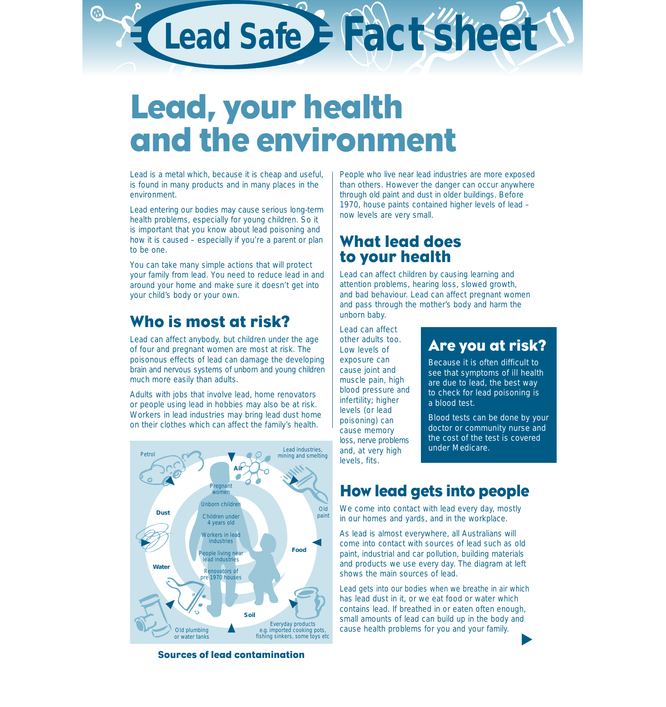# **Lead Safe Fact sheet**

## Lead, your health and the environment

Lead is a metal which, because it is cheap and useful, is found in many products and in many places in the environment.

Lead entering our bodies may cause serious long-term health problems, especially for young children. So it is important that you know about lead poisoning and how it is caused – especially if you're a parent or plan to be one.

You can take many simple actions that will protect your family from lead. You need to reduce lead in and around your home and make sure it doesn't get into your child's body or your own.

## Who is most at risk?

Lead can affect anybody, but children under the age of four and pregnant women are most at risk. The poisonous effects of lead can damage the developing brain and nervous systems of unborn and young children much more easily than adults.

Adults with jobs that involve lead, home renovators or people using lead in hobbies may also be at risk. Workers in lead industries may bring lead dust home on their clothes which can affect the family's health.



Sources of lead contamination

People who live near lead industries are more exposed than others. However the danger can occur anywhere through old paint and dust in older buildings. Before 1970, house paints contained higher levels of lead – now levels are very small.

## What lead does to your health

Lead can affect children by causing learning and attention problems, hearing loss, slowed growth, and bad behaviour. Lead can affect pregnant women and pass through the mother's body and harm the unborn baby.

Lead can affect other adults too. Low levels of exposure can cause joint and muscle pain, high blood pressure and infertility; higher levels (or lead poisoning) can cause memory loss, nerve problems and, at very high levels, fits.

### Are you at risk?

Because it is often difficult to see that symptoms of ill health are due to lead, the best way to check for lead poisoning is a blood test.

Blood tests can be done by your doctor or community nurse and the cost of the test is covered under Medicare.

## How lead gets into people

We come into contact with lead every day, mostly in our homes and yards, and in the workplace.

As lead is almost everywhere, all Australians will come into contact with sources of lead such as old paint, industrial and car pollution, building materials and products we use every day. The diagram at left shows the main sources of lead.

Lead gets into our bodies when we breathe in air which has lead dust in it, or we eat food or water which contains lead. If breathed in or eaten often enough, small amounts of lead can build up in the body and cause health problems for you and your family.